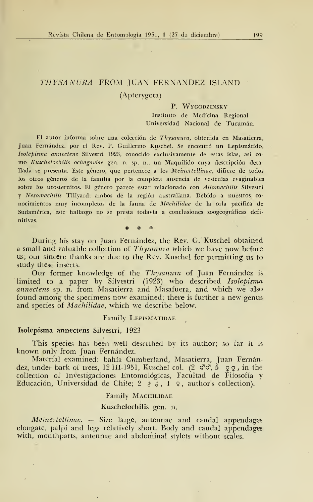# THYSANURA FROM JUAN FERNANDEZ ISLAND (Apterygota)

# P. WYGODZINSKY Instituto de Medicina Regional Universidad Nacional de Tucumán.

El autor informa sobre una colección de Thysanura, obtenida en Masatierra, Juan Fernández, por el Rev. P. Guillermo Kuschel. Se encontró un Lepismátido, Isolepisma annectens Silvestri 1923, conocido exclusivamente de estas islas, así co mo Kuschelochilis ochagaviae gen. n. sp. n., un Maquílido cuya descripción detallada se presenta. Este género, que pertenece a los Meinertellinae, difiere de todos los otros géneros de la familia por la completa ausencia de vesículas evaginables sobre los urosternitos. El género parece estar relacionado con Allomachilis Silvestri y Nesomachilis Tillyard, ambos de la región australiana. Debido a nuestros co nocimientos muy incompletos de la fauna de Machilidae de la orla pacífica de Sudamérica, este hallazgo no se presta todavía a conclusiones zoogeográficas definitivas.

\* \* \*

During his stay on Juan Fernández, the Rev. G. Kuschel obtained a small and valuable collection of Thysanura which we have now before us; our sincere thanks are due to the Rev. Kuschel for permitting us to study these insects.

Our former knowledge of the Thysanura of Juan Fernández is limited to a paper by Silvestri (1923) who described Isolepisma annectens sp. n. from Masatierra and Masafuera, and which we also found among the specimens now examined; there is further a new genus and species of Machilidae, which we describe below.

#### Family LEPISMATIDAE

## Isolepisma annectens Silvestri, 1923

This species has been well described by its author; so far it is known only from Juan Fernández.

Material examined: bahía Cumberland, Masatierra, Juan Fernández, under bark of trees, 12 III-1951, Kuschel col.  $(2 \circ \vec{c}, 5 \circ \vec{c})$ , in the collection of Investigaciones Entomológicas, Facultad de Filosofía y Educación, Universidad de Chile; 2  $\delta$   $\delta$ , 1  $\Omega$ , author's collection).

## Family MACHILIDAE

#### Kuschelochilis gen. n.

Meinertellinae. — Size large, antennae and caudal appendages elongate, palpi and legs relatively short. Body and caudal appendages with, mouthparts, antennae and abdominal stylets without scales.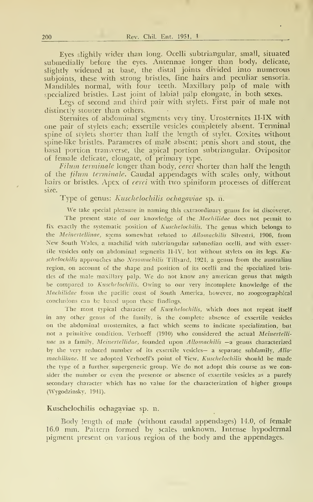Eyes slightly wicler than long. Ocelli subtriangular, small, situated submedially before the eyes. Antennae longer than body, delicate, slightly widened at base, the distal joints divided into numerous subjoints, these with strong bristles, fine hairs and peculiar sensoria. Mandibles normal, with four teeth. Maxillary palp of male with specialized bristles. Last joint of labial pálp elongate, in both sexes.

Legs of second and third pair with stylets. First pair of male not distinctly stouter than others.

Sternites of abdominal segments very tiny. Urosternites II-IX with one pair o£ stylets each; exsertile vesicles completely absent. Terminal spine of stylets shorter than half the length of stylet. Coxites without spine-like bristles. Parameres of male absent; penis short and stout, the basal portion transverse, the apical portion subtriangular. Ovipositor of female delicate, elongate, of primary type.

Filum terminale longer than body, cerci shorter than half the length of the filum terminale. Caudal appendages with scales only, without hairs or bristles. Apex of cerci with two spiniform processes of different size.

Type of genus: Kuschelochilis ochagaviae sp. n.

We take special pleasure in naming this extraordinary genus for ist discoverer. The present state of our knowledge of the Machilidae does not permit to fix exactly the systematic position of Kuschelochilis. The genus which belongs to the Meinertellinae, seems somewhat related to Allomachilis Silvestri, 1906, from New South Wales, <sup>a</sup> machilid with subtriangular submedian ocelli, and with exsertile vesicles only on abdominal segments Il-IV, buí without stylets on its legs. Kuschelochilis approaches also Nesomachilis Tillyard, 1924, a genus from the australiau región, on account of the shape and position of its ocelli and the specialized bristles of the male maxillary palp. We do not know any american genus that migth be compared to Kuschelochilis. Owing to our very incomplete knowledge of the Machilidae from the pacific coast of South America, however, no zoogeographical conclusions can be based upon these findings.

The most typical character of Kusthelochilis, which does not repeat itself in any other genus of the family, is the complete absence of exsertile vesicles on the abdominal urosternites, a fact which seems to indícate specialization, but not <sup>a</sup> primitive condition. Verhoeff (1910) who considered the actual Meinertelli nae as <sup>a</sup> family, Meinertellidae, founded upon Allomachilis —a genus characterized by the very reduced number of its exsertile vesicles- a separate subfamily, Allomachilinae. If we adopted Verhoeff's point of view, Kuschelochilis should be made the type of <sup>a</sup> further. supergeneric group. We do not adopt this course as we consider the number or eyen the presence or absence of exsertile vesicles as a purely secondary character which has no value for the characterization of higher groups (Wygodzinsky, 1941).

#### Kuschelochilis ochagaviae sp. n.

Body length of male (without caudal appendages) 14.0, of female 16.0 mm. Pattern formed by scales unknown. Intense hypodermal pigment present on various región of the body and the appendages.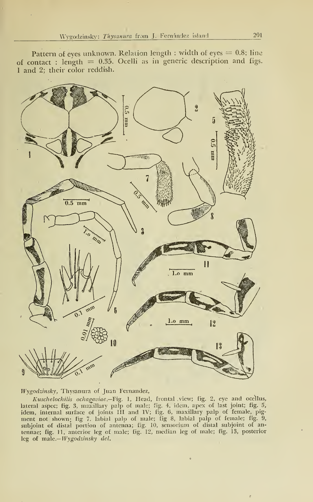Pattern of eyes unknown. Relation length : width of eyes  $= 0.8$ ; line of contact : length =  $0.35$ . Ocelli as in generic description and figs. <sup>1</sup> and 2; their color reddish.



Wygodzinsky, Thysanura of Juan Fernandez,

Kuschelochilis ochagaviae.—Fig. 1, Head, frontal view; fig. 2, eye and ocellus, lateral aspec; fig. 3, maxillary palp of male; fig. 4, idem, apex of last joint; fig. 5, Ídem, internal surface of joints III and IV; fig. 6, maxillary palp of female, pig ment not shown; fig 7. labial palp of male; fig 8, labial palp of female; fig. 9, subjoint of distal portion of antenna; fig. 10, sensoriura of distal subjoint of antennae; fig. 11, anterior leg of male; fig. 12, median leg of male; fig. 13, posterior leg of male.-*Wygodzinsky del*.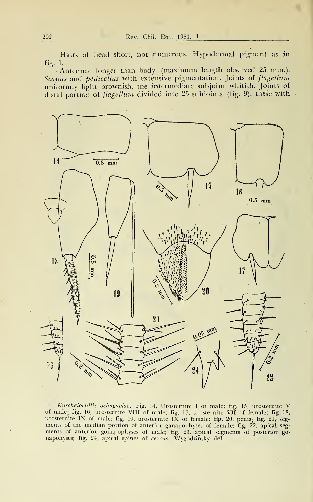Hairs of head short, not numerous. Hypodermal pigment as in fig. 1.

Antennae longer than body (máximum length observed 25 mm.). Scapus and pedicellus with extensive pigmentation. Joints of flagellum uniformly light brownish, the intermediate subjoint whitish. Joints of distal portion of *flagellum* divided into 25 subjoints (fig. 9); these with



*Kuschelochilis ochagaviae.*—Fig. 14, Urosternite I of male; fig. 15, urosternite V<br>of male; fig. 16, urosternite VIII of male; fig. 17, urosternite VII of female; fig 18,<br>urosternite IX of male; fig. 10, urosternite IX of ments of the median portion of anterior ganapophyses of female; fig. 22, apical seg ments of anterior gonapophyses of male; fig. 23, apical segments of posterior go napohyses; fig. 24, apical spines of *cercus.*—Wygodzinsky del.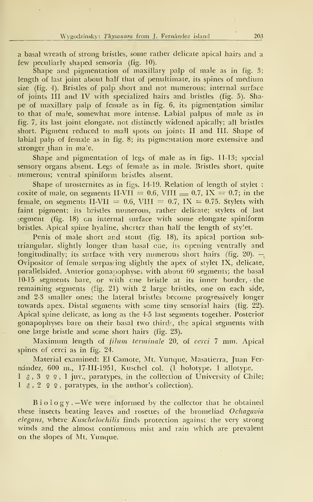a basal wreath of strong bristles, some rather delicate apical hairs and a few peculiarly shaped sensoria (fig. 10).

Shape and pigmentation of maxillary palp of male as in fig. 3; length of last joint about half that of penultimate, its spines of medium size (fig. 4). Bristles of palp short and not numerous; internal surface of joints III and IV with specialized hairs and bristles (fig. 5). Shape of maxillary palp of female as in fig. 6, its pigmentation similar to that of male, somewhat more intense. Labial palpus of male as in fig. 7, its last joint elongate, not distinctly widened apically; all bristles short. Pigment reduced to malí spots on joints II and III. Shape of labial palp of female as in fig. 8; its pigmentation more extensive and stronger than in male.

Shape and pigmentation of legs of male as in figs. 11-13; special sensory organs absent. Legs of female as in male. Bristles short, quite numerous; ventral spiniform bristles absent.

Shape of urosternites as in figs. 14-19. Relation of length of stylet : coxite of male, on segments II-VII = 0.6, VIII  $=$  0.7, IX = 0.7; in the female, on segments II-VII = 0.6, VIII = 0.7, IX = 0.75. Stylets with faint pigment; its bristles numerous, rather delicate; stylets of last segment (fig. 18) en internal surface with some elongate spiniform bristles. Apical spine hyaline, shcrter than half the length of styíet.

Penis of male short and stout (fig. 18), its apical portion subtriangular, slightly longer than basal ene, its opening ventrally and longitudinally; its surface with very numerous short hairs (fig. 20).  $-$ Ovipositor of female surpassing slightly the apex of stylet IX, delicate, parallelsided. Anterior gonapophysej with about 60 segments; the basal 10-15 segments bare, or with ene bristle at its inner border, the remaining segments (fig. 21) with 2 large bristles, one on each side, and 2-3 smaller ones; the lateral bristles become progressively longer towards apex. Distal segments with some tiny sensorial hairs (fig. 22). Apical spine delicate, as long as the 4-5 last segments together. Posterior gonapophyses bare on their basal two tbirds, the apical segments with one large bristle and some short hairs (fig. 23).

Maximum length of filum terminale 20, of cerci 7 mm. Apical spines of cerci as in fig. 24.

Material examined: El Camote, Mt. Yunque, Masatierra, Juan Fer nández, 600 m., 17-III-1951, Kuschel col. (1 holotype, <sup>1</sup> allotype,  $I \$   $\delta$ ,  $3 \,$   $\circ$   $\circ$ ,  $I$  juv., paratypes, in the collection of University of Chile;

 $1 \text{ } 3$ ,  $2 \text{ } 2$ , paratypes, in the author's collection).

 $B$  i o  $\log y$ . –We were informed by the collector that he obtained these insects beating leaves and rosettes of the bromeliad Ochagavia elegans, where Kuschelochilis finds protection against the very strong winds and the almost continuous mist and rain which are prevalent on the slopes of Mt. Yunque.